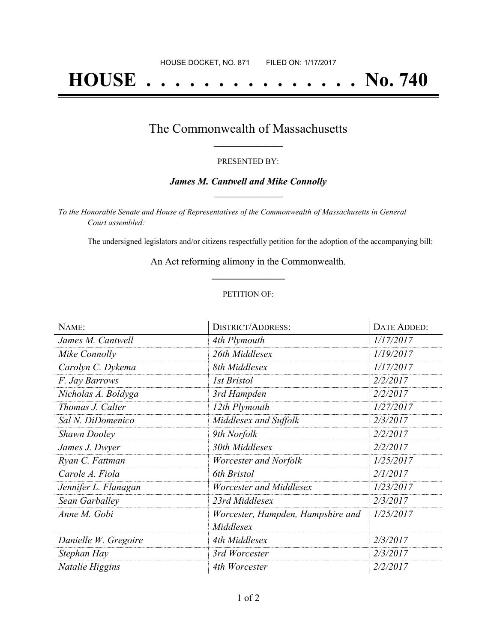# **HOUSE . . . . . . . . . . . . . . . No. 740**

## The Commonwealth of Massachusetts **\_\_\_\_\_\_\_\_\_\_\_\_\_\_\_\_\_**

#### PRESENTED BY:

#### *James M. Cantwell and Mike Connolly* **\_\_\_\_\_\_\_\_\_\_\_\_\_\_\_\_\_**

*To the Honorable Senate and House of Representatives of the Commonwealth of Massachusetts in General Court assembled:*

The undersigned legislators and/or citizens respectfully petition for the adoption of the accompanying bill:

An Act reforming alimony in the Commonwealth. **\_\_\_\_\_\_\_\_\_\_\_\_\_\_\_**

#### PETITION OF:

| NAME:                | <b>DISTRICT/ADDRESS:</b>          | DATE ADDED: |
|----------------------|-----------------------------------|-------------|
| James M. Cantwell    | 4th Plymouth                      | 1/17/2017   |
| Mike Connolly        | 26th Middlesex                    | 1/19/2017   |
| Carolyn C. Dykema    | 8th Middlesex                     | 1/17/2017   |
| F. Jay Barrows       | <b>1st Bristol</b>                | 2/2/2017    |
| Nicholas A. Boldyga  | 3rd Hampden                       | 2/2/2017    |
| Thomas J. Calter     | 12th Plymouth                     | 1/27/2017   |
| Sal N. DiDomenico    | Middlesex and Suffolk             | 2/3/2017    |
| <b>Shawn Dooley</b>  | 9th Norfolk                       | 2/2/2017    |
| James J. Dwyer       | 30th Middlesex                    | 2/2/2017    |
| Ryan C. Fattman      | Worcester and Norfolk             | 1/25/2017   |
| Carole A. Fiola      | 6th Bristol                       | 2/1/2017    |
| Jennifer L. Flanagan | Worcester and Middlesex           | 1/23/2017   |
| Sean Garballey       | 23rd Middlesex                    | 2/3/2017    |
| Anne M. Gobi         | Worcester, Hampden, Hampshire and | 1/25/2017   |
|                      | Middlesex                         |             |
| Danielle W. Gregoire | 4th Middlesex                     | 2/3/2017    |
| Stephan Hay          | 3rd Worcester                     | 2/3/2017    |
| Natalie Higgins      | 4th Worcester                     | 2/2/2017    |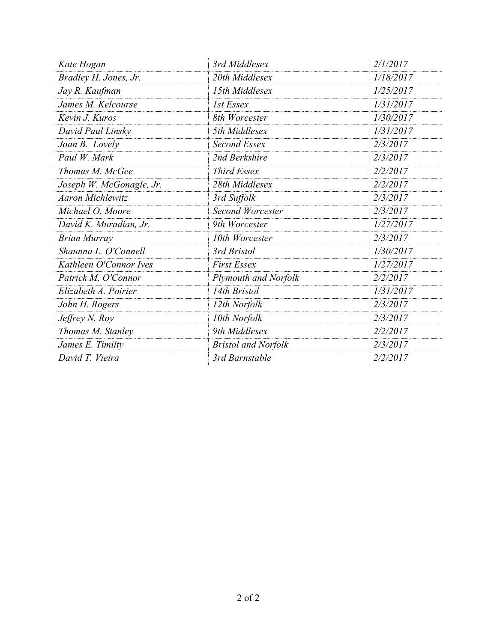| Kate Hogan               | 3rd Middlesex               | 2/1/2017  |
|--------------------------|-----------------------------|-----------|
| Bradley H. Jones, Jr.    | 20th Middlesex              | 1/18/2017 |
| Jay R. Kaufman           | 15th Middlesex              | 1/25/2017 |
| James M. Kelcourse       | 1st Essex                   | 1/31/2017 |
| Kevin J. Kuros           | 8th Worcester               | 1/30/2017 |
| David Paul Linsky        | 5th Middlesex               | 1/31/2017 |
| Joan B. Lovely           | Second Essex                | 2/3/2017  |
| Paul W. Mark             | 2nd Berkshire               | 2/3/2017  |
| Thomas M. McGee          | <b>Third Essex</b>          | 2/2/2017  |
| Joseph W. McGonagle, Jr. | 28th Middlesex              | 2/2/2017  |
| <b>Aaron Michlewitz</b>  | 3rd Suffolk                 | 2/3/2017  |
| Michael O. Moore         | <b>Second Worcester</b>     | 2/3/2017  |
| David K. Muradian, Jr.   | 9th Worcester               | 1/27/2017 |
| <b>Brian Murray</b>      | 10th Worcester              | 2/3/2017  |
| Shaunna L. O'Connell     | 3rd Bristol                 | 1/30/2017 |
| Kathleen O'Connor Ives   | <b>First Essex</b>          | 1/27/2017 |
| Patrick M. O'Connor      | <b>Plymouth and Norfolk</b> | 2/2/2017  |
| Elizabeth A. Poirier     | 14th Bristol                | 1/31/2017 |
| John H. Rogers           | 12th Norfolk                | 2/3/2017  |
| Jeffrey N. Roy           | 10th Norfolk                | 2/3/2017  |
| Thomas M. Stanley        | 9th Middlesex               | 2/2/2017  |
| James E. Timilty         | <b>Bristol and Norfolk</b>  | 2/3/2017  |
| David T. Vieira          | 3rd Barnstable              | 2/2/2017  |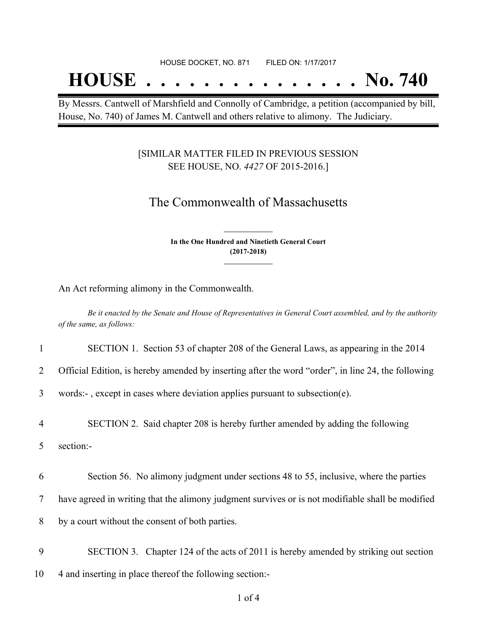## **HOUSE . . . . . . . . . . . . . . . No. 740**

By Messrs. Cantwell of Marshfield and Connolly of Cambridge, a petition (accompanied by bill, House, No. 740) of James M. Cantwell and others relative to alimony. The Judiciary.

#### [SIMILAR MATTER FILED IN PREVIOUS SESSION SEE HOUSE, NO. *4427* OF 2015-2016.]

### The Commonwealth of Massachusetts

**In the One Hundred and Ninetieth General Court (2017-2018) \_\_\_\_\_\_\_\_\_\_\_\_\_\_\_**

**\_\_\_\_\_\_\_\_\_\_\_\_\_\_\_**

An Act reforming alimony in the Commonwealth.

Be it enacted by the Senate and House of Representatives in General Court assembled, and by the authority *of the same, as follows:*

1 SECTION 1. Section 53 of chapter 208 of the General Laws, as appearing in the 2014

2 Official Edition, is hereby amended by inserting after the word "order", in line 24, the following

3 words:- , except in cases where deviation applies pursuant to subsection(e).

4 SECTION 2. Said chapter 208 is hereby further amended by adding the following

5 section:-

6 Section 56. No alimony judgment under sections 48 to 55, inclusive, where the parties

7 have agreed in writing that the alimony judgment survives or is not modifiable shall be modified

8 by a court without the consent of both parties.

9 SECTION 3. Chapter 124 of the acts of 2011 is hereby amended by striking out section 10 4 and inserting in place thereof the following section:-

1 of 4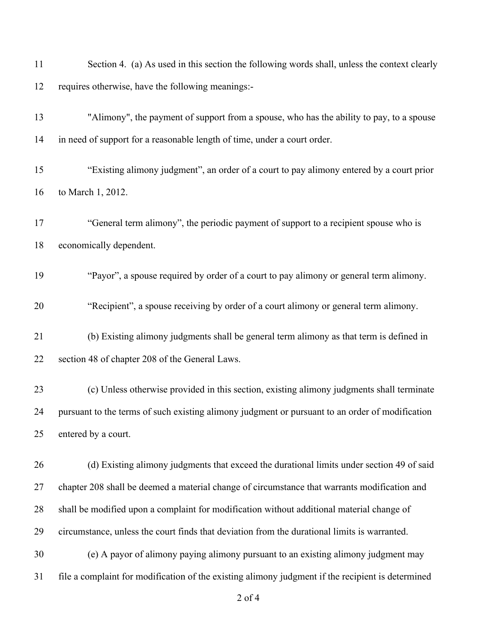| 11 | Section 4. (a) As used in this section the following words shall, unless the context clearly      |
|----|---------------------------------------------------------------------------------------------------|
| 12 | requires otherwise, have the following meanings:-                                                 |
| 13 | "Alimony", the payment of support from a spouse, who has the ability to pay, to a spouse          |
| 14 | in need of support for a reasonable length of time, under a court order.                          |
| 15 | "Existing alimony judgment", an order of a court to pay alimony entered by a court prior          |
| 16 | to March 1, 2012.                                                                                 |
| 17 | "General term alimony", the periodic payment of support to a recipient spouse who is              |
| 18 | economically dependent.                                                                           |
| 19 | "Payor", a spouse required by order of a court to pay alimony or general term alimony.            |
| 20 | "Recipient", a spouse receiving by order of a court alimony or general term alimony.              |
| 21 | (b) Existing alimony judgments shall be general term alimony as that term is defined in           |
| 22 | section 48 of chapter 208 of the General Laws.                                                    |
| 23 | (c) Unless otherwise provided in this section, existing alimony judgments shall terminate         |
| 24 | pursuant to the terms of such existing alimony judgment or pursuant to an order of modification   |
| 25 | entered by a court.                                                                               |
| 26 | (d) Existing alimony judgments that exceed the durational limits under section 49 of said         |
| 27 | chapter 208 shall be deemed a material change of circumstance that warrants modification and      |
| 28 | shall be modified upon a complaint for modification without additional material change of         |
| 29 | circumstance, unless the court finds that deviation from the durational limits is warranted.      |
| 30 | (e) A payor of alimony paying alimony pursuant to an existing alimony judgment may                |
| 31 | file a complaint for modification of the existing alimony judgment if the recipient is determined |
|    | $2$ of 4                                                                                          |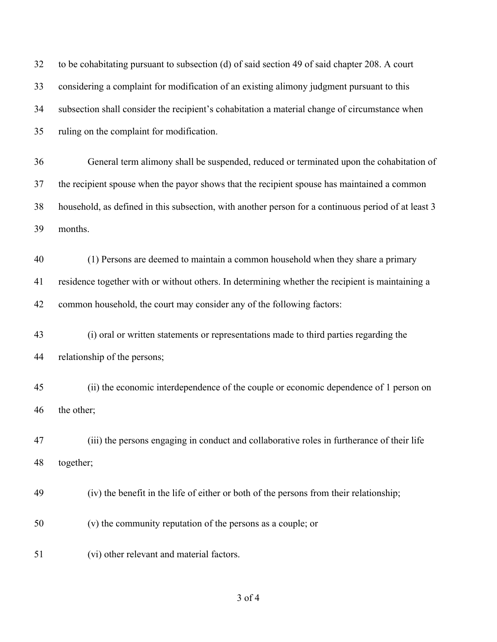| 32 | to be cohabitating pursuant to subsection (d) of said section 49 of said chapter 208. A court       |
|----|-----------------------------------------------------------------------------------------------------|
| 33 | considering a complaint for modification of an existing alimony judgment pursuant to this           |
| 34 | subsection shall consider the recipient's cohabitation a material change of circumstance when       |
| 35 | ruling on the complaint for modification.                                                           |
| 36 | General term alimony shall be suspended, reduced or terminated upon the cohabitation of             |
| 37 | the recipient spouse when the payor shows that the recipient spouse has maintained a common         |
| 38 | household, as defined in this subsection, with another person for a continuous period of at least 3 |
| 39 | months.                                                                                             |
| 40 | (1) Persons are deemed to maintain a common household when they share a primary                     |
| 41 | residence together with or without others. In determining whether the recipient is maintaining a    |
| 42 | common household, the court may consider any of the following factors:                              |
| 43 | (i) oral or written statements or representations made to third parties regarding the               |
| 44 | relationship of the persons;                                                                        |
| 45 | (ii) the economic interdependence of the couple or economic dependence of 1 person on               |
| 46 | the other;                                                                                          |
| 47 | (iii) the persons engaging in conduct and collaborative roles in furtherance of their life          |
| 48 | together;                                                                                           |
| 49 | (iv) the benefit in the life of either or both of the persons from their relationship;              |
| 50 | (v) the community reputation of the persons as a couple; or                                         |
| 51 | (vi) other relevant and material factors.                                                           |

## of 4